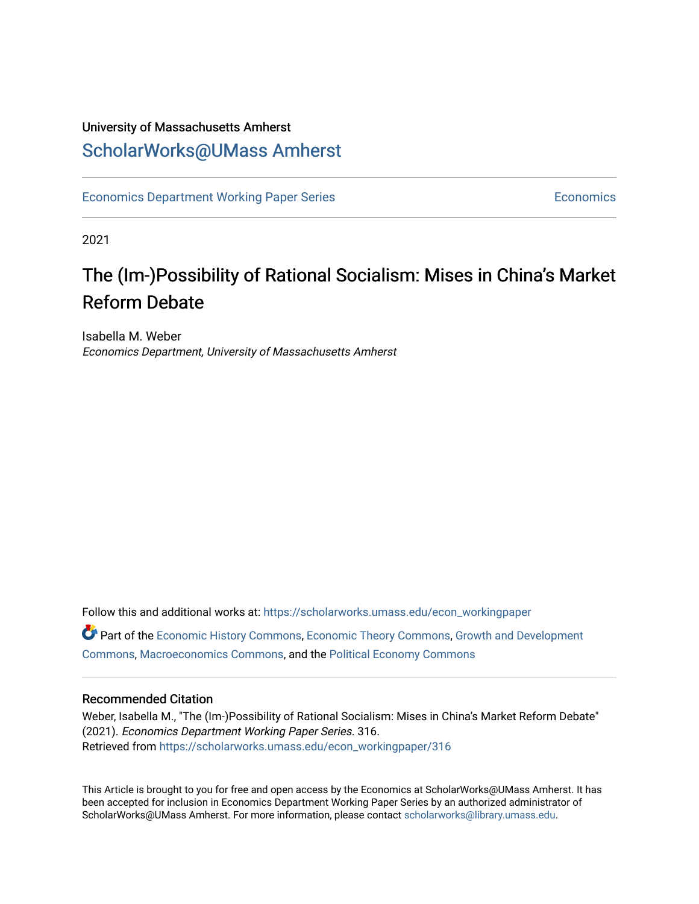# University of Massachusetts Amherst [ScholarWorks@UMass Amherst](https://scholarworks.umass.edu/)

[Economics Department Working Paper Series](https://scholarworks.umass.edu/econ_workingpaper) **Economics** [Economics](https://scholarworks.umass.edu/economics) Economics

2021

# The (Im-)Possibility of Rational Socialism: Mises in China's Market Reform Debate

Isabella M. Weber Economics Department, University of Massachusetts Amherst

Follow this and additional works at: [https://scholarworks.umass.edu/econ\\_workingpaper](https://scholarworks.umass.edu/econ_workingpaper?utm_source=scholarworks.umass.edu%2Fecon_workingpaper%2F316&utm_medium=PDF&utm_campaign=PDFCoverPages)  Part of the [Economic History Commons](http://network.bepress.com/hgg/discipline/343?utm_source=scholarworks.umass.edu%2Fecon_workingpaper%2F316&utm_medium=PDF&utm_campaign=PDFCoverPages), [Economic Theory Commons,](http://network.bepress.com/hgg/discipline/344?utm_source=scholarworks.umass.edu%2Fecon_workingpaper%2F316&utm_medium=PDF&utm_campaign=PDFCoverPages) [Growth and Development](http://network.bepress.com/hgg/discipline/346?utm_source=scholarworks.umass.edu%2Fecon_workingpaper%2F316&utm_medium=PDF&utm_campaign=PDFCoverPages) [Commons](http://network.bepress.com/hgg/discipline/346?utm_source=scholarworks.umass.edu%2Fecon_workingpaper%2F316&utm_medium=PDF&utm_campaign=PDFCoverPages), [Macroeconomics Commons,](http://network.bepress.com/hgg/discipline/350?utm_source=scholarworks.umass.edu%2Fecon_workingpaper%2F316&utm_medium=PDF&utm_campaign=PDFCoverPages) and the [Political Economy Commons](http://network.bepress.com/hgg/discipline/352?utm_source=scholarworks.umass.edu%2Fecon_workingpaper%2F316&utm_medium=PDF&utm_campaign=PDFCoverPages) 

#### Recommended Citation

Weber, Isabella M., "The (Im-)Possibility of Rational Socialism: Mises in China's Market Reform Debate" (2021). Economics Department Working Paper Series. 316. Retrieved from [https://scholarworks.umass.edu/econ\\_workingpaper/316](https://scholarworks.umass.edu/econ_workingpaper/316?utm_source=scholarworks.umass.edu%2Fecon_workingpaper%2F316&utm_medium=PDF&utm_campaign=PDFCoverPages)

This Article is brought to you for free and open access by the Economics at ScholarWorks@UMass Amherst. It has been accepted for inclusion in Economics Department Working Paper Series by an authorized administrator of ScholarWorks@UMass Amherst. For more information, please contact [scholarworks@library.umass.edu.](mailto:scholarworks@library.umass.edu)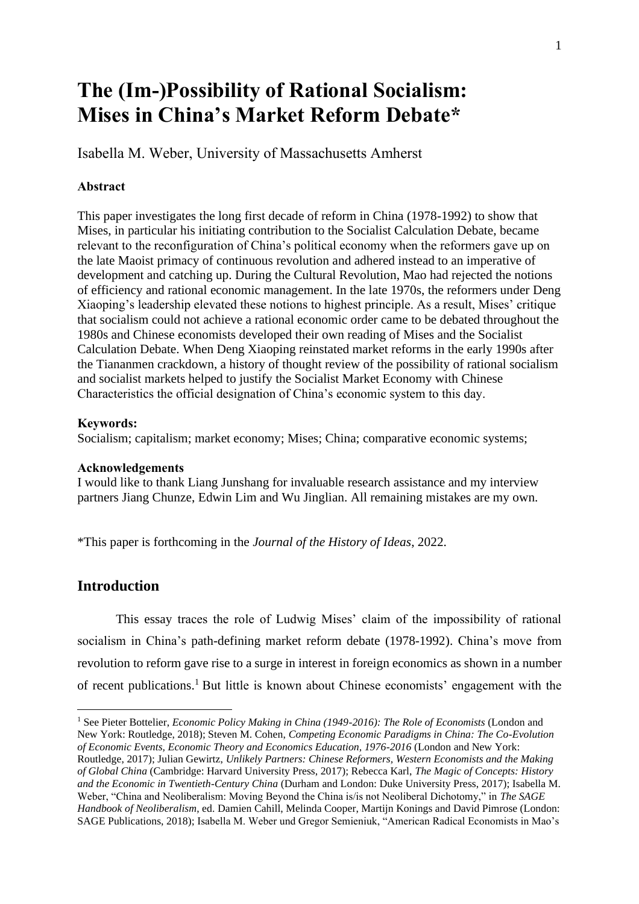# **The (Im-)Possibility of Rational Socialism: Mises in China's Market Reform Debate\***

Isabella M. Weber, University of Massachusetts Amherst

#### **Abstract**

This paper investigates the long first decade of reform in China (1978-1992) to show that Mises, in particular his initiating contribution to the Socialist Calculation Debate, became relevant to the reconfiguration of China's political economy when the reformers gave up on the late Maoist primacy of continuous revolution and adhered instead to an imperative of development and catching up. During the Cultural Revolution, Mao had rejected the notions of efficiency and rational economic management. In the late 1970s, the reformers under Deng Xiaoping's leadership elevated these notions to highest principle. As a result, Mises' critique that socialism could not achieve a rational economic order came to be debated throughout the 1980s and Chinese economists developed their own reading of Mises and the Socialist Calculation Debate. When Deng Xiaoping reinstated market reforms in the early 1990s after the Tiananmen crackdown, a history of thought review of the possibility of rational socialism and socialist markets helped to justify the Socialist Market Economy with Chinese Characteristics the official designation of China's economic system to this day.

#### **Keywords:**

Socialism; capitalism; market economy; Mises; China; comparative economic systems;

#### **Acknowledgements**

I would like to thank Liang Junshang for invaluable research assistance and my interview partners Jiang Chunze, Edwin Lim and Wu Jinglian. All remaining mistakes are my own.

\*This paper is forthcoming in the *Journal of the History of Ideas*, 2022.

## **Introduction**

This essay traces the role of Ludwig Mises' claim of the impossibility of rational socialism in China's path-defining market reform debate (1978-1992). China's move from revolution to reform gave rise to a surge in interest in foreign economics as shown in a number of recent publications. <sup>1</sup> But little is known about Chinese economists' engagement with the

<sup>&</sup>lt;sup>1</sup> See Pieter Bottelier, *Economic Policy Making in China (1949-2016): The Role of Economists* (London and New York: Routledge, 2018); Steven M. Cohen, *Competing Economic Paradigms in China: The Co-Evolution of Economic Events, Economic Theory and Economics Education, 1976-2016* (London and New York: Routledge, 2017); Julian Gewirtz, *Unlikely Partners: Chinese Reformers, Western Economists and the Making of Global China* (Cambridge: Harvard University Press, 2017); Rebecca Karl, *The Magic of Concepts: History and the Economic in Twentieth-Century China* (Durham and London: Duke University Press, 2017); Isabella M. Weber, "China and Neoliberalism: Moving Beyond the China is/is not Neoliberal Dichotomy," in *The SAGE Handbook of Neoliberalism*, ed. Damien Cahill, Melinda Cooper, Martijn Konings and David Pimrose (London: SAGE Publications, 2018); Isabella M. Weber und Gregor Semieniuk, "American Radical Economists in Mao's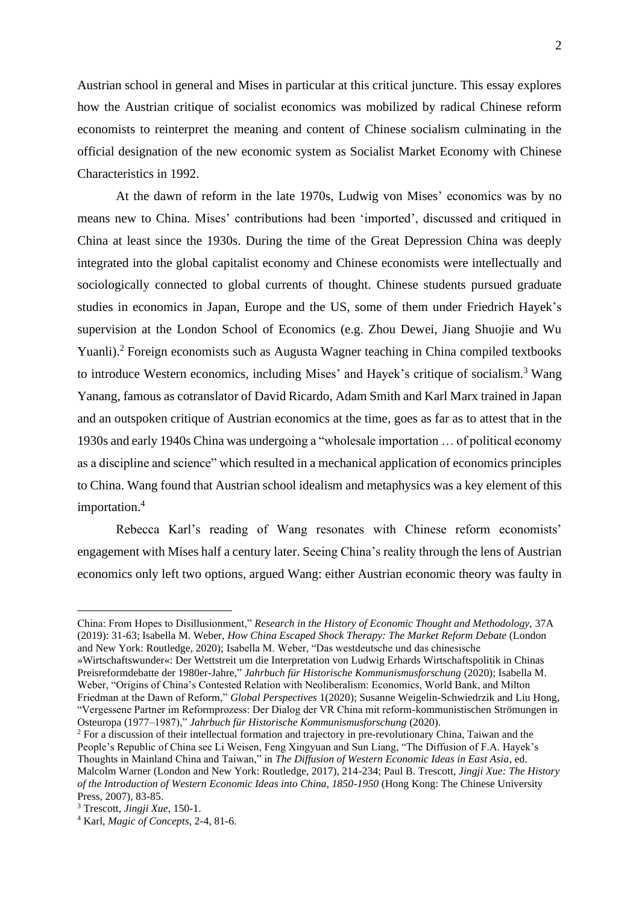Austrian school in general and Mises in particular at this critical juncture. This essay explores how the Austrian critique of socialist economics was mobilized by radical Chinese reform economists to reinterpret the meaning and content of Chinese socialism culminating in the official designation of the new economic system as Socialist Market Economy with Chinese Characteristics in 1992.

At the dawn of reform in the late 1970s, Ludwig von Mises' economics was by no means new to China. Mises' contributions had been 'imported', discussed and critiqued in China at least since the 1930s. During the time of the Great Depression China was deeply integrated into the global capitalist economy and Chinese economists were intellectually and sociologically connected to global currents of thought. Chinese students pursued graduate studies in economics in Japan, Europe and the US, some of them under Friedrich Hayek's supervision at the London School of Economics (e.g. Zhou Dewei, Jiang Shuojie and Wu Yuanli).<sup>2</sup> Foreign economists such as Augusta Wagner teaching in China compiled textbooks to introduce Western economics, including Mises' and Hayek's critique of socialism.<sup>3</sup> Wang Yanang, famous as cotranslator of David Ricardo, Adam Smith and Karl Marx trained in Japan and an outspoken critique of Austrian economics at the time, goes as far as to attest that in the 1930s and early 1940s China was undergoing a "wholesale importation … of political economy as a discipline and science" which resulted in a mechanical application of economics principles to China. Wang found that Austrian school idealism and metaphysics was a key element of this importation. 4

Rebecca Karl's reading of Wang resonates with Chinese reform economists' engagement with Mises half a century later. Seeing China's reality through the lens of Austrian economics only left two options, argued Wang: either Austrian economic theory was faulty in

China: From Hopes to Disillusionment," *Research in the History of Economic Thought and Methodology,* 37A (2019): 31-63; Isabella M. Weber, *How China Escaped Shock Therapy: The Market Reform Debate* (London and New York: Routledge, 2020); Isabella M. Weber, "Das westdeutsche und das chinesische

<sup>»</sup>Wirtschaftswunder«: Der Wettstreit um die Interpretation von Ludwig Erhards Wirtschaftspolitik in Chinas Preisreformdebatte der 1980er-Jahre," *Jahrbuch für Historische Kommunismusforschung* (2020); Isabella M. Weber, "Origins of China's Contested Relation with Neoliberalism: Economics, World Bank, and Milton Friedman at the Dawn of Reform," *Global Perspectives* 1(2020); Susanne Weigelin-Schwiedrzik and Liu Hong, "Vergessene Partner im Reformprozess: Der Dialog der VR China mit reform-kommunistischen Strömungen in Osteuropa (1977–1987)," *Jahrbuch für Historische Kommunismusforschung* (2020).

<sup>2</sup> For a discussion of their intellectual formation and trajectory in pre-revolutionary China, Taiwan and the People's Republic of China see Li Weisen, Feng Xingyuan and Sun Liang, "The Diffusion of F.A. Hayek's Thoughts in Mainland China and Taiwan," in *The Diffusion of Western Economic Ideas in East Asia*, ed. Malcolm Warner (London and New York: Routledge, 2017), 214-234; Paul B. Trescott, *Jingji Xue: The History of the Introduction of Western Economic Ideas into China, 1850-1950* (Hong Kong: The Chinese University Press, 2007), 83-85.

<sup>3</sup> Trescott, *Jingji Xue,* 150-1.

<sup>4</sup> Karl, *Magic of Concepts*, 2-4, 81-6.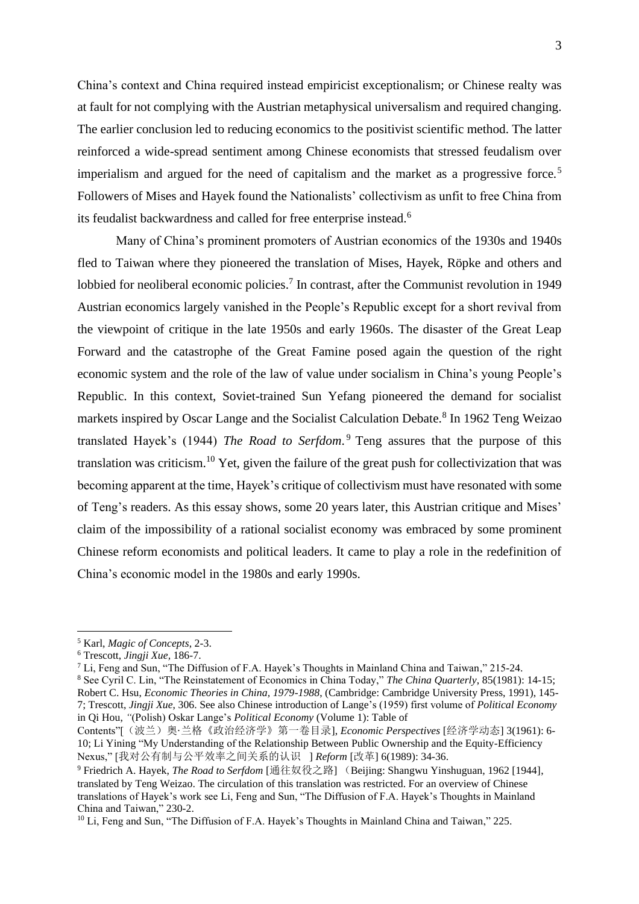China's context and China required instead empiricist exceptionalism; or Chinese realty was at fault for not complying with the Austrian metaphysical universalism and required changing. The earlier conclusion led to reducing economics to the positivist scientific method. The latter reinforced a wide-spread sentiment among Chinese economists that stressed feudalism over imperialism and argued for the need of capitalism and the market as a progressive force.<sup>5</sup> Followers of Mises and Hayek found the Nationalists' collectivism as unfit to free China from its feudalist backwardness and called for free enterprise instead.<sup>6</sup>

Many of China's prominent promoters of Austrian economics of the 1930s and 1940s fled to Taiwan where they pioneered the translation of Mises, Hayek, Röpke and others and lobbied for neoliberal economic policies.<sup>7</sup> In contrast, after the Communist revolution in 1949 Austrian economics largely vanished in the People's Republic except for a short revival from the viewpoint of critique in the late 1950s and early 1960s. The disaster of the Great Leap Forward and the catastrophe of the Great Famine posed again the question of the right economic system and the role of the law of value under socialism in China's young People's Republic. In this context, Soviet-trained Sun Yefang pioneered the demand for socialist markets inspired by Oscar Lange and the Socialist Calculation Debate.<sup>8</sup> In 1962 Teng Weizao translated Hayek's (1944) *The Road to Serfdom*. <sup>9</sup> Teng assures that the purpose of this translation was criticism.<sup>10</sup> Yet, given the failure of the great push for collectivization that was becoming apparent at the time, Hayek's critique of collectivism must have resonated with some of Teng's readers. As this essay shows, some 20 years later, this Austrian critique and Mises' claim of the impossibility of a rational socialist economy was embraced by some prominent Chinese reform economists and political leaders. It came to play a role in the redefinition of China's economic model in the 1980s and early 1990s.

<sup>5</sup> Karl, *Magic of Concepts*, 2-3.

<sup>6</sup> Trescott, *Jingji Xue,* 186-7.

<sup>7</sup> Li, Feng and Sun, "The Diffusion of F.A. Hayek's Thoughts in Mainland China and Taiwan," 215-24.

<sup>8</sup> See Cyril C. Lin, "The Reinstatement of Economics in China Today," *The China Quarterly*, 85(1981): 14-15; Robert C. Hsu, *Economic Theories in China, 1979-1988*, (Cambridge: Cambridge University Press, 1991), 145- 7; Trescott, *Jingji Xue*, 306. See also Chinese introduction of Lange's (1959) first volume of *Political Economy* in Qi Hou, *"*(Polish) Oskar Lange's *Political Economy* (Volume 1): Table of

Contents"[(波兰)奥·兰格《政治经济学》第一卷目录], *Economic Perspectives* [经济学动态] 3(1961): 6- 10; Li Yining "My Understanding of the Relationship Between Public Ownership and the Equity-Efficiency Nexus," [我对公有制与公平效率之间关系的认识 ] *Reform* [改革] 6(1989): 34-36.

<sup>9</sup> Friedrich A. Hayek, *The Road to Serfdom* [通往奴役之路] (Beijing: Shangwu Yinshuguan, 1962 [1944], translated by Teng Weizao. The circulation of this translation was restricted. For an overview of Chinese translations of Hayek's work see Li, Feng and Sun, "The Diffusion of F.A. Hayek's Thoughts in Mainland China and Taiwan," 230-2.

<sup>&</sup>lt;sup>10</sup> Li, Feng and Sun, "The Diffusion of F.A. Hayek's Thoughts in Mainland China and Taiwan," 225.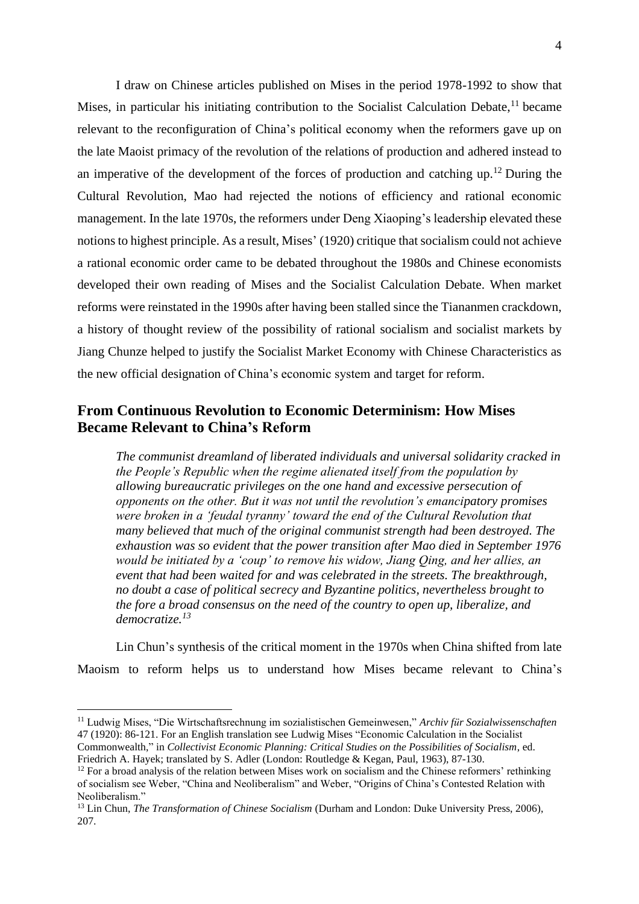I draw on Chinese articles published on Mises in the period 1978-1992 to show that Mises, in particular his initiating contribution to the Socialist Calculation Debate,  $11$  became relevant to the reconfiguration of China's political economy when the reformers gave up on the late Maoist primacy of the revolution of the relations of production and adhered instead to an imperative of the development of the forces of production and catching up.<sup>12</sup> During the Cultural Revolution, Mao had rejected the notions of efficiency and rational economic management. In the late 1970s, the reformers under Deng Xiaoping's leadership elevated these notions to highest principle. As a result, Mises' (1920) critique that socialism could not achieve a rational economic order came to be debated throughout the 1980s and Chinese economists developed their own reading of Mises and the Socialist Calculation Debate. When market reforms were reinstated in the 1990s after having been stalled since the Tiananmen crackdown, a history of thought review of the possibility of rational socialism and socialist markets by Jiang Chunze helped to justify the Socialist Market Economy with Chinese Characteristics as the new official designation of China's economic system and target for reform.

### **From Continuous Revolution to Economic Determinism: How Mises Became Relevant to China's Reform**

*The communist dreamland of liberated individuals and universal solidarity cracked in the People's Republic when the regime alienated itself from the population by allowing bureaucratic privileges on the one hand and excessive persecution of opponents on the other. But it was not until the revolution's emancipatory promises were broken in a 'feudal tyranny' toward the end of the Cultural Revolution that many believed that much of the original communist strength had been destroyed. The exhaustion was so evident that the power transition after Mao died in September 1976 would be initiated by a 'coup' to remove his widow, Jiang Qing, and her allies, an event that had been waited for and was celebrated in the streets. The breakthrough, no doubt a case of political secrecy and Byzantine politics, nevertheless brought to the fore a broad consensus on the need of the country to open up, liberalize, and democratize.<sup>13</sup>*

Lin Chun's synthesis of the critical moment in the 1970s when China shifted from late Maoism to reform helps us to understand how Mises became relevant to China's

<sup>11</sup> Ludwig Mises, "Die Wirtschaftsrechnung im sozialistischen Gemeinwesen," *Archiv für Sozialwissenschaften* 47 (1920): 86-121. For an English translation see Ludwig Mises "Economic Calculation in the Socialist Commonwealth," in *Collectivist Economic Planning: Critical Studies on the Possibilities of Socialism*, ed. Friedrich A. Hayek; translated by S. Adler (London: Routledge & Kegan, Paul, 1963), 87-130.

 $12$  For a broad analysis of the relation between Mises work on socialism and the Chinese reformers' rethinking of socialism see Weber, "China and Neoliberalism" and Weber, "Origins of China's Contested Relation with Neoliberalism."

<sup>13</sup> Lin Chun, *The Transformation of Chinese Socialism* (Durham and London: Duke University Press, 2006), 207.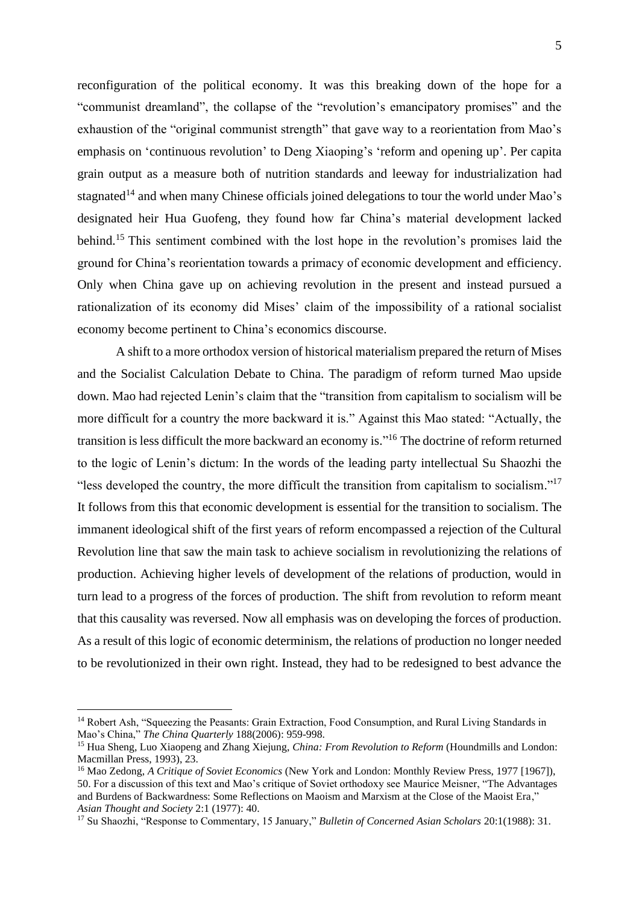reconfiguration of the political economy. It was this breaking down of the hope for a "communist dreamland", the collapse of the "revolution's emancipatory promises" and the exhaustion of the "original communist strength" that gave way to a reorientation from Mao's emphasis on 'continuous revolution' to Deng Xiaoping's 'reform and opening up'. Per capita grain output as a measure both of nutrition standards and leeway for industrialization had stagnated<sup>14</sup> and when many Chinese officials joined delegations to tour the world under Mao's designated heir Hua Guofeng, they found how far China's material development lacked behind.<sup>15</sup> This sentiment combined with the lost hope in the revolution's promises laid the ground for China's reorientation towards a primacy of economic development and efficiency. Only when China gave up on achieving revolution in the present and instead pursued a rationalization of its economy did Mises' claim of the impossibility of a rational socialist economy become pertinent to China's economics discourse.

A shift to a more orthodox version of historical materialism prepared the return of Mises and the Socialist Calculation Debate to China. The paradigm of reform turned Mao upside down. Mao had rejected Lenin's claim that the "transition from capitalism to socialism will be more difficult for a country the more backward it is." Against this Mao stated: "Actually, the transition is less difficult the more backward an economy is."<sup>16</sup> The doctrine of reform returned to the logic of Lenin's dictum: In the words of the leading party intellectual Su Shaozhi the "less developed the country, the more difficult the transition from capitalism to socialism."<sup>17</sup> It follows from this that economic development is essential for the transition to socialism. The immanent ideological shift of the first years of reform encompassed a rejection of the Cultural Revolution line that saw the main task to achieve socialism in revolutionizing the relations of production. Achieving higher levels of development of the relations of production, would in turn lead to a progress of the forces of production. The shift from revolution to reform meant that this causality was reversed. Now all emphasis was on developing the forces of production. As a result of this logic of economic determinism, the relations of production no longer needed to be revolutionized in their own right. Instead, they had to be redesigned to best advance the

<sup>&</sup>lt;sup>14</sup> Robert Ash, "Squeezing the Peasants: Grain Extraction, Food Consumption, and Rural Living Standards in Mao's China," *The China Quarterly* 188(2006): 959-998.

<sup>15</sup> Hua Sheng, Luo Xiaopeng and Zhang Xiejung, *China: From Revolution to Reform* (Houndmills and London: Macmillan Press, 1993), 23.

<sup>16</sup> Mao Zedong, *A Critique of Soviet Economics* (New York and London: Monthly Review Press, 1977 [1967]), 50. For a discussion of this text and Mao's critique of Soviet orthodoxy see Maurice Meisner, "The Advantages and Burdens of Backwardness: Some Reflections on Maoism and Marxism at the Close of the Maoist Era," *Asian Thought and Society* 2:1 (1977): 40.

<sup>17</sup> Su Shaozhi, "Response to Commentary, 15 January," *Bulletin of Concerned Asian Scholars* 20:1(1988): 31.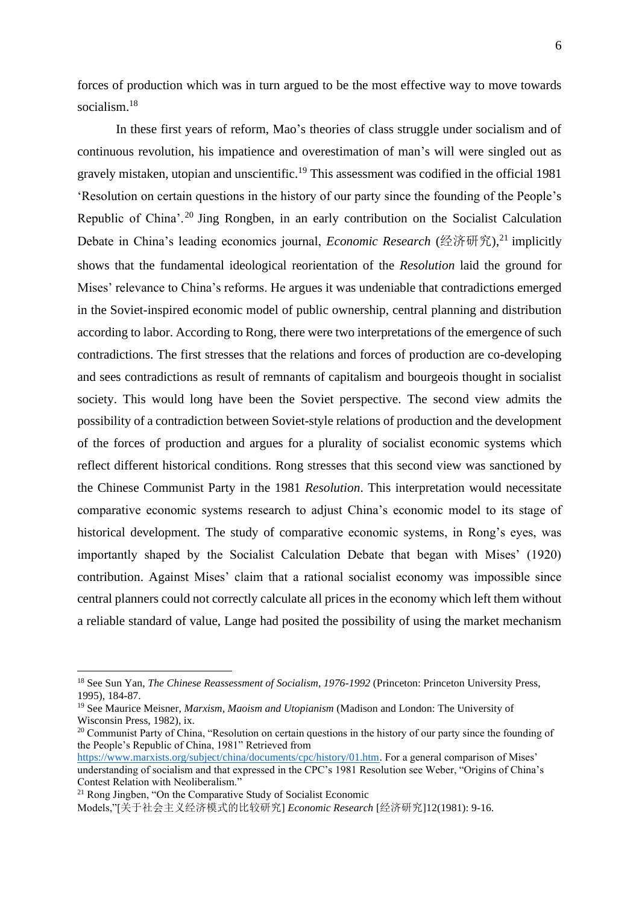forces of production which was in turn argued to be the most effective way to move towards socialism.<sup>18</sup>

In these first years of reform, Mao's theories of class struggle under socialism and of continuous revolution, his impatience and overestimation of man's will were singled out as gravely mistaken, utopian and unscientific.<sup>19</sup> This assessment was codified in the official 1981 'Resolution on certain questions in the history of our party since the founding of the People's Republic of China'.<sup>20</sup> Jing Rongben, in an early contribution on the Socialist Calculation Debate in China's leading economics journal, *Economic Research* (经济研究), <sup>21</sup> implicitly shows that the fundamental ideological reorientation of the *Resolution* laid the ground for Mises' relevance to China's reforms. He argues it was undeniable that contradictions emerged in the Soviet-inspired economic model of public ownership, central planning and distribution according to labor. According to Rong, there were two interpretations of the emergence of such contradictions. The first stresses that the relations and forces of production are co-developing and sees contradictions as result of remnants of capitalism and bourgeois thought in socialist society. This would long have been the Soviet perspective. The second view admits the possibility of a contradiction between Soviet-style relations of production and the development of the forces of production and argues for a plurality of socialist economic systems which reflect different historical conditions. Rong stresses that this second view was sanctioned by the Chinese Communist Party in the 1981 *Resolution*. This interpretation would necessitate comparative economic systems research to adjust China's economic model to its stage of historical development. The study of comparative economic systems, in Rong's eyes, was importantly shaped by the Socialist Calculation Debate that began with Mises' (1920) contribution. Against Mises' claim that a rational socialist economy was impossible since central planners could not correctly calculate all prices in the economy which left them without a reliable standard of value, Lange had posited the possibility of using the market mechanism

<sup>18</sup> See Sun Yan, *The Chinese Reassessment of Socialism, 1976-1992* (Princeton: Princeton University Press, 1995), 184-87.

<sup>19</sup> See Maurice Meisner, *Marxism, Maoism and Utopianism* (Madison and London: The University of Wisconsin Press, 1982), ix.

<sup>&</sup>lt;sup>20</sup> Communist Party of China, "Resolution on certain questions in the history of our party since the founding of the People's Republic of China, 1981" Retrieved from

[https://www.marxists.org/subject/china/documents/cpc/history/01.htm.](https://www.marxists.org/subject/china/documents/cpc/history/01.htm) For a general comparison of Mises' understanding of socialism and that expressed in the CPC's 1981 Resolution see Weber, "Origins of China's Contest Relation with Neoliberalism."

<sup>21</sup> Rong Jingben, "On the Comparative Study of Socialist Economic

Models,"[关于社会主义经济模式的比较研究] *Economic Research* [经济研究]12(1981): 9-16.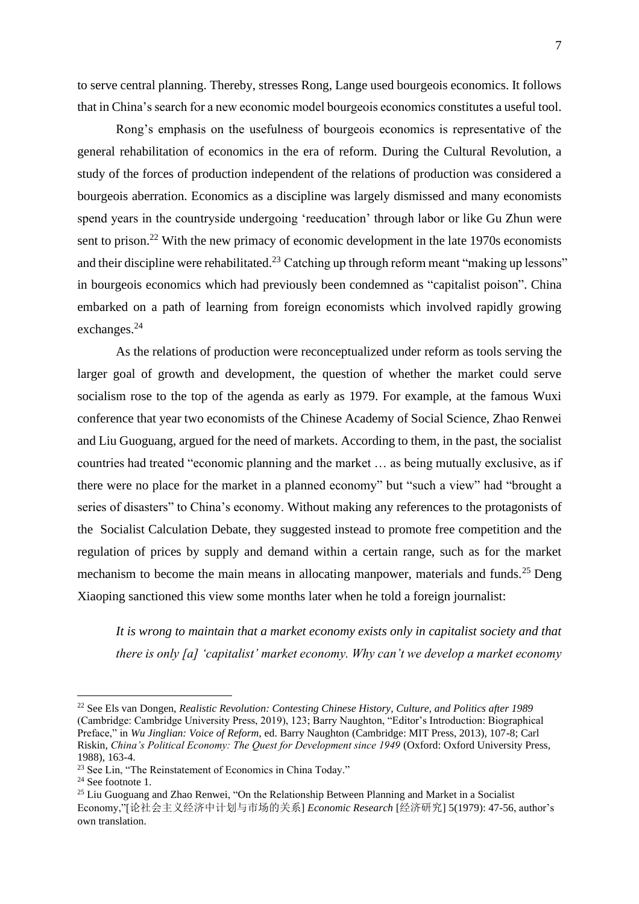to serve central planning. Thereby, stresses Rong, Lange used bourgeois economics. It follows that in China's search for a new economic model bourgeois economics constitutes a useful tool.

Rong's emphasis on the usefulness of bourgeois economics is representative of the general rehabilitation of economics in the era of reform. During the Cultural Revolution, a study of the forces of production independent of the relations of production was considered a bourgeois aberration. Economics as a discipline was largely dismissed and many economists spend years in the countryside undergoing 'reeducation' through labor or like Gu Zhun were sent to prison.<sup>22</sup> With the new primacy of economic development in the late 1970s economists and their discipline were rehabilitated.<sup>23</sup> Catching up through reform meant "making up lessons" in bourgeois economics which had previously been condemned as "capitalist poison". China embarked on a path of learning from foreign economists which involved rapidly growing exchanges.<sup>24</sup>

As the relations of production were reconceptualized under reform as tools serving the larger goal of growth and development, the question of whether the market could serve socialism rose to the top of the agenda as early as 1979. For example, at the famous Wuxi conference that year two economists of the Chinese Academy of Social Science, Zhao Renwei and Liu Guoguang, argued for the need of markets. According to them, in the past, the socialist countries had treated "economic planning and the market … as being mutually exclusive, as if there were no place for the market in a planned economy" but "such a view" had "brought a series of disasters" to China's economy. Without making any references to the protagonists of the Socialist Calculation Debate, they suggested instead to promote free competition and the regulation of prices by supply and demand within a certain range, such as for the market mechanism to become the main means in allocating manpower, materials and funds.<sup>25</sup> Deng Xiaoping sanctioned this view some months later when he told a foreign journalist:

*It is wrong to maintain that a market economy exists only in capitalist society and that there is only [a] 'capitalist' market economy. Why can't we develop a market economy* 

<sup>22</sup> See Els van Dongen, *Realistic Revolution: Contesting Chinese History, Culture, and Politics after 1989* (Cambridge: Cambridge University Press, 2019), 123; Barry Naughton, "Editor's Introduction: Biographical Preface," in *Wu Jinglian: Voice of Reform,* ed. Barry Naughton (Cambridge: MIT Press, 2013), 107-8; Carl Riskin, *China's Political Economy: The Quest for Development since 1949* (Oxford: Oxford University Press, 1988), 163-4.

<sup>&</sup>lt;sup>23</sup> See Lin, "The Reinstatement of Economics in China Today."

<sup>24</sup> See footnote 1.

<sup>&</sup>lt;sup>25</sup> Liu Guoguang and Zhao Renwei, "On the Relationship Between Planning and Market in a Socialist Economy,"[论社会主义经济中计划与市场的关系] *Economic Research* [经济研究] 5(1979): 47-56, author's own translation.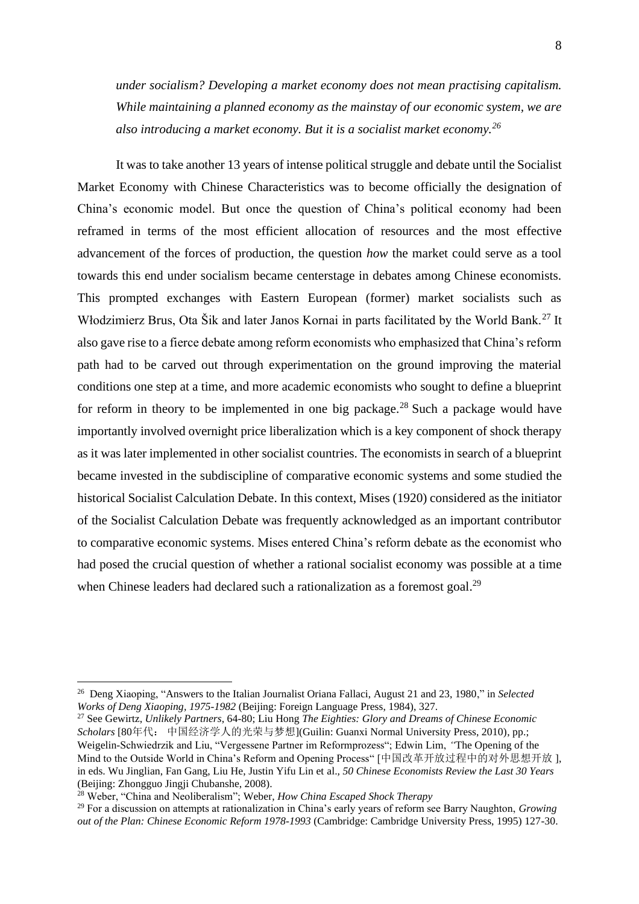*under socialism? Developing a market economy does not mean practising capitalism. While maintaining a planned economy as the mainstay of our economic system, we are also introducing a market economy. But it is a socialist market economy.<sup>26</sup>*

It was to take another 13 years of intense political struggle and debate until the Socialist Market Economy with Chinese Characteristics was to become officially the designation of China's economic model. But once the question of China's political economy had been reframed in terms of the most efficient allocation of resources and the most effective advancement of the forces of production, the question *how* the market could serve as a tool towards this end under socialism became centerstage in debates among Chinese economists. This prompted exchanges with Eastern European (former) market socialists such as Włodzimierz Brus, Ota Šik and later Janos Kornai in parts facilitated by the World Bank.<sup>27</sup> It also gave rise to a fierce debate among reform economists who emphasized that China's reform path had to be carved out through experimentation on the ground improving the material conditions one step at a time, and more academic economists who sought to define a blueprint for reform in theory to be implemented in one big package.<sup>28</sup> Such a package would have importantly involved overnight price liberalization which is a key component of shock therapy as it was later implemented in other socialist countries. The economists in search of a blueprint became invested in the subdiscipline of comparative economic systems and some studied the historical Socialist Calculation Debate. In this context, Mises (1920) considered as the initiator of the Socialist Calculation Debate was frequently acknowledged as an important contributor to comparative economic systems. Mises entered China's reform debate as the economist who had posed the crucial question of whether a rational socialist economy was possible at a time when Chinese leaders had declared such a rationalization as a foremost goal.<sup>29</sup>

<sup>26</sup> Deng Xiaoping, "Answers to the Italian Journalist Oriana Fallaci, August 21 and 23, 1980," in *Selected Works of Deng Xiaoping, 1975-1982* (Beijing: Foreign Language Press, 1984), 327.

<sup>27</sup> See Gewirtz, *Unlikely Partners*, 64-80; Liu Hong *The Eighties: Glory and Dreams of Chinese Economic Scholars* [80年代: 中国经济学人的光荣与梦想](Guilin: Guanxi Normal University Press, 2010), pp.; Weigelin-Schwiedrzik and Liu, "Vergessene Partner im Reformprozess"; Edwin Lim, *"*The Opening of the Mind to the Outside World in China's Reform and Opening Process" [中国改革开放过程中的对外思想开放 ], in eds. Wu Jinglian, Fan Gang, Liu He, Justin Yifu Lin et al.*, 50 Chinese Economists Review the Last 30 Years*  (Beijing: Zhongguo Jingji Chubanshe, 2008).

<sup>28</sup> Weber, "China and Neoliberalism"; Weber, *How China Escaped Shock Therapy*

<sup>29</sup> For a discussion on attempts at rationalization in China's early years of reform see Barry Naughton, *Growing out of the Plan: Chinese Economic Reform 1978-1993* (Cambridge: Cambridge University Press, 1995) 127-30.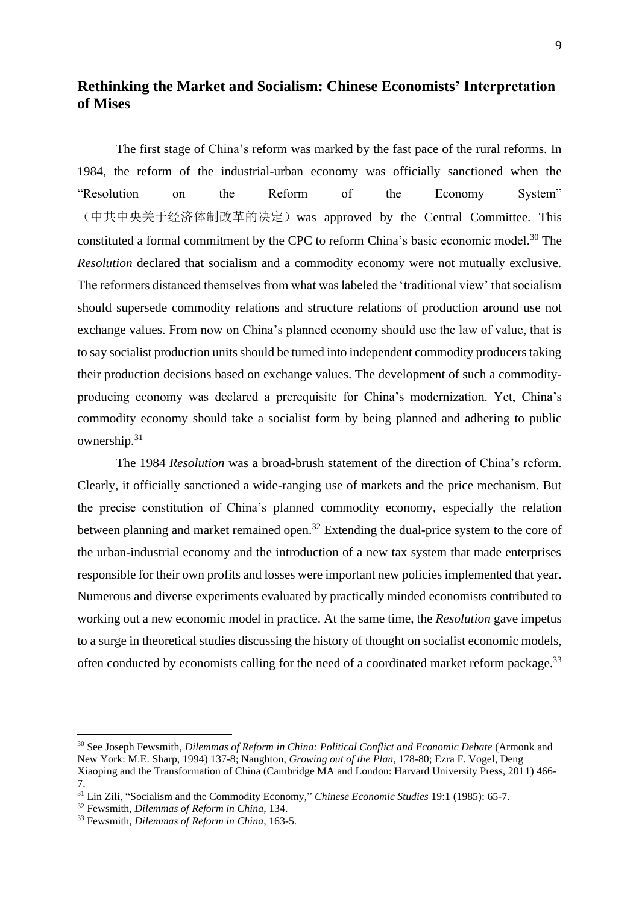# **Rethinking the Market and Socialism: Chinese Economists' Interpretation of Mises**

The first stage of China's reform was marked by the fast pace of the rural reforms. In 1984, the reform of the industrial-urban economy was officially sanctioned when the "Resolution on the Reform of the Economy System" (中共中央关于经济体制改革的决定)was approved by the Central Committee. This constituted a formal commitment by the CPC to reform China's basic economic model.<sup>30</sup> The *Resolution* declared that socialism and a commodity economy were not mutually exclusive. The reformers distanced themselves from what was labeled the 'traditional view' that socialism should supersede commodity relations and structure relations of production around use not exchange values. From now on China's planned economy should use the law of value, that is to say socialist production units should be turned into independent commodity producers taking their production decisions based on exchange values. The development of such a commodityproducing economy was declared a prerequisite for China's modernization. Yet, China's commodity economy should take a socialist form by being planned and adhering to public ownership.<sup>31</sup>

The 1984 *Resolution* was a broad-brush statement of the direction of China's reform. Clearly, it officially sanctioned a wide-ranging use of markets and the price mechanism. But the precise constitution of China's planned commodity economy, especially the relation between planning and market remained open.<sup>32</sup> Extending the dual-price system to the core of the urban-industrial economy and the introduction of a new tax system that made enterprises responsible for their own profits and losses were important new policies implemented that year. Numerous and diverse experiments evaluated by practically minded economists contributed to working out a new economic model in practice. At the same time, the *Resolution* gave impetus to a surge in theoretical studies discussing the history of thought on socialist economic models, often conducted by economists calling for the need of a coordinated market reform package.<sup>33</sup>

<sup>30</sup> See Joseph Fewsmith, *Dilemmas of Reform in China: Political Conflict and Economic Debate* (Armonk and New York: M.E. Sharp, 1994) 137-8; Naughton, *Growing out of the Plan*, 178-80; Ezra F. Vogel, Deng Xiaoping and the Transformation of China (Cambridge MA and London: Harvard University Press, 2011) 466- 7.

<sup>31</sup> Lin Zili, "Socialism and the Commodity Economy," *Chinese Economic Studies* 19:1 (1985): 65-7.

<sup>32</sup> Fewsmith, *Dilemmas of Reform in China*, 134.

<sup>33</sup> Fewsmith, *Dilemmas of Reform in China*, 163-5.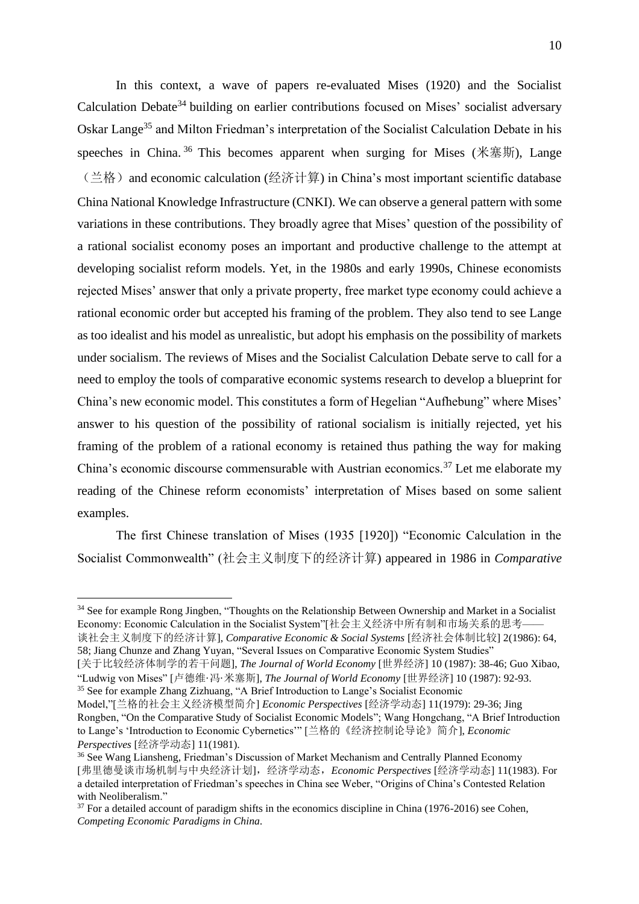In this context, a wave of papers re-evaluated Mises (1920) and the Socialist Calculation Debate<sup>34</sup> building on earlier contributions focused on Mises' socialist adversary Oskar Lange<sup>35</sup> and Milton Friedman's interpretation of the Socialist Calculation Debate in his speeches in China.<sup>36</sup> This becomes apparent when surging for Mises (米塞斯), Lange (兰格) and economic calculation (经济计算) in China's most important scientific database China National Knowledge Infrastructure (CNKI). We can observe a general pattern with some variations in these contributions. They broadly agree that Mises' question of the possibility of a rational socialist economy poses an important and productive challenge to the attempt at developing socialist reform models. Yet, in the 1980s and early 1990s, Chinese economists rejected Mises' answer that only a private property, free market type economy could achieve a rational economic order but accepted his framing of the problem. They also tend to see Lange as too idealist and his model as unrealistic, but adopt his emphasis on the possibility of markets under socialism. The reviews of Mises and the Socialist Calculation Debate serve to call for a need to employ the tools of comparative economic systems research to develop a blueprint for China's new economic model. This constitutes a form of Hegelian "Aufhebung" where Mises' answer to his question of the possibility of rational socialism is initially rejected, yet his framing of the problem of a rational economy is retained thus pathing the way for making China's economic discourse commensurable with Austrian economics.<sup>37</sup> Let me elaborate my reading of the Chinese reform economists' interpretation of Mises based on some salient examples.

The first Chinese translation of Mises (1935 [1920]) "Economic Calculation in the Socialist Commonwealth" (社会主义制度下的经济计算) appeared in 1986 in *Comparative* 

[关于比较经济体制学的若干问题], *The Journal of World Economy* [世界经济] 10 (1987): 38-46; Guo Xibao, "Ludwig von Mises" [卢德维·冯·米塞斯], *The Journal of World Economy* [世界经济] 10 (1987): 92-93. <sup>35</sup> See for example Zhang Zizhuang, "A Brief Introduction to Lange's Socialist Economic

<sup>&</sup>lt;sup>34</sup> See for example Rong Jingben, "Thoughts on the Relationship Between Ownership and Market in a Socialist Economy: Economic Calculation in the Socialist System"[社会主义经济中所有制和市场关系的思考—— 谈社会主义制度下的经济计算], *Comparative Economic & Social Systems* [经济社会体制比较] 2(1986): 64, 58; Jiang Chunze and Zhang Yuyan, "Several Issues on Comparative Economic System Studies"

Model,"[兰格的社会主义经济模型简介] *Economic Perspectives* [经济学动态] 11(1979): 29-36; Jing Rongben, "On the Comparative Study of Socialist Economic Models"; Wang Hongchang, "A Brief Introduction to Lange's 'Introduction to Economic Cybernetics'" [兰格的《经济控制论导论》简介], *Economic Perspectives* [经济学动态] 11(1981).

<sup>36</sup> See Wang Liansheng, Friedman's Discussion of Market Mechanism and Centrally Planned Economy [弗里德曼谈市场机制与中央经济计划],经济学动态,*Economic Perspectives* [经济学动态] 11(1983). For a detailed interpretation of Friedman's speeches in China see Weber, "Origins of China's Contested Relation with Neoliberalism."

 $37$  For a detailed account of paradigm shifts in the economics discipline in China (1976-2016) see Cohen, *Competing Economic Paradigms in China.*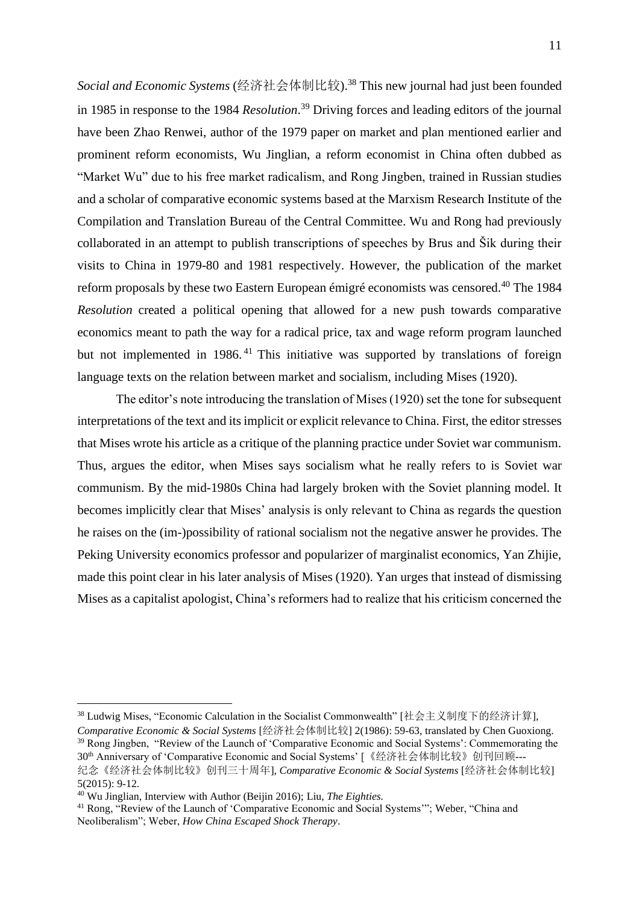*Social and Economic Systems* (经济社会体制比较). <sup>38</sup> This new journal had just been founded in 1985 in response to the 1984 *Resolution*. <sup>39</sup> Driving forces and leading editors of the journal have been Zhao Renwei, author of the 1979 paper on market and plan mentioned earlier and prominent reform economists, Wu Jinglian, a reform economist in China often dubbed as "Market Wu" due to his free market radicalism, and Rong Jingben, trained in Russian studies and a scholar of comparative economic systems based at the Marxism Research Institute of the Compilation and Translation Bureau of the Central Committee. Wu and Rong had previously collaborated in an attempt to publish transcriptions of speeches by Brus and Šik during their visits to China in 1979-80 and 1981 respectively. However, the publication of the market reform proposals by these two Eastern European émigré economists was censored. <sup>40</sup> The 1984 *Resolution* created a political opening that allowed for a new push towards comparative economics meant to path the way for a radical price, tax and wage reform program launched but not implemented in 1986.<sup>41</sup> This initiative was supported by translations of foreign language texts on the relation between market and socialism, including Mises (1920).

The editor's note introducing the translation of Mises (1920) set the tone for subsequent interpretations of the text and its implicit or explicit relevance to China. First, the editor stresses that Mises wrote his article as a critique of the planning practice under Soviet war communism. Thus, argues the editor, when Mises says socialism what he really refers to is Soviet war communism. By the mid-1980s China had largely broken with the Soviet planning model. It becomes implicitly clear that Mises' analysis is only relevant to China as regards the question he raises on the (im-)possibility of rational socialism not the negative answer he provides. The Peking University economics professor and popularizer of marginalist economics, Yan Zhijie, made this point clear in his later analysis of Mises (1920). Yan urges that instead of dismissing Mises as a capitalist apologist, China's reformers had to realize that his criticism concerned the

<sup>38</sup> Ludwig Mises, "Economic Calculation in the Socialist Commonwealth" [社会主义制度下的经济计算], *Comparative Economic & Social Systems* [经济社会体制比较] 2(1986): 59-63, translated by Chen Guoxiong.

<sup>39</sup> Rong Jingben, "Review of the Launch of 'Comparative Economic and Social Systems': Commemorating the 30th Anniversary of 'Comparative Economic and Social Systems' [《经济社会体制比较》创刊回顾--- 纪念《经济社会体制比较》创刊三十周年], *Comparative Economic & Social Systems* [经济社会体制比较]

<sup>5(2015):</sup> 9-12.

<sup>40</sup> Wu Jinglian, Interview with Author (Beijin 2016); Liu, *The Eighties.*

<sup>&</sup>lt;sup>41</sup> Rong, "Review of the Launch of 'Comparative Economic and Social Systems'"; Weber, "China and Neoliberalism"; Weber, *How China Escaped Shock Therapy*.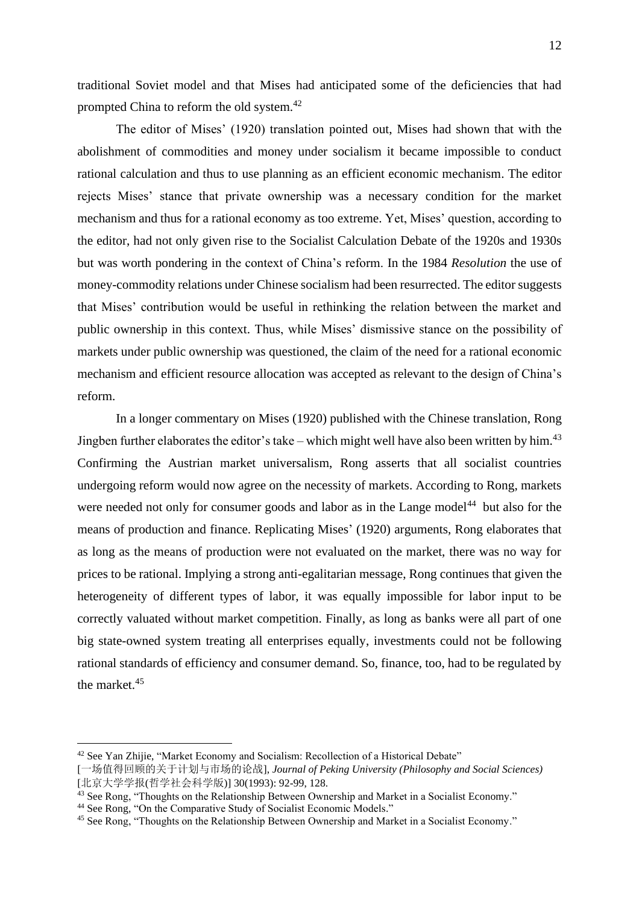traditional Soviet model and that Mises had anticipated some of the deficiencies that had prompted China to reform the old system.<sup>42</sup>

The editor of Mises' (1920) translation pointed out, Mises had shown that with the abolishment of commodities and money under socialism it became impossible to conduct rational calculation and thus to use planning as an efficient economic mechanism. The editor rejects Mises' stance that private ownership was a necessary condition for the market mechanism and thus for a rational economy as too extreme. Yet, Mises' question, according to the editor, had not only given rise to the Socialist Calculation Debate of the 1920s and 1930s but was worth pondering in the context of China's reform. In the 1984 *Resolution* the use of money-commodity relations under Chinese socialism had been resurrected. The editor suggests that Mises' contribution would be useful in rethinking the relation between the market and public ownership in this context. Thus, while Mises' dismissive stance on the possibility of markets under public ownership was questioned, the claim of the need for a rational economic mechanism and efficient resource allocation was accepted as relevant to the design of China's reform.

In a longer commentary on Mises (1920) published with the Chinese translation, Rong Jingben further elaborates the editor's take – which might well have also been written by him.<sup>43</sup> Confirming the Austrian market universalism, Rong asserts that all socialist countries undergoing reform would now agree on the necessity of markets. According to Rong, markets were needed not only for consumer goods and labor as in the Lange model<sup>44</sup> but also for the means of production and finance. Replicating Mises' (1920) arguments, Rong elaborates that as long as the means of production were not evaluated on the market, there was no way for prices to be rational. Implying a strong anti-egalitarian message, Rong continues that given the heterogeneity of different types of labor, it was equally impossible for labor input to be correctly valuated without market competition. Finally, as long as banks were all part of one big state-owned system treating all enterprises equally, investments could not be following rational standards of efficiency and consumer demand. So, finance, too, had to be regulated by the market<sup>45</sup>

<sup>42</sup> See Yan Zhijie, "Market Economy and Socialism: Recollection of a Historical Debate"

<sup>[</sup>一场值得回顾的关于计划与市场的论战], *Journal of Peking University (Philosophy and Social Sciences)* [北京大学学报(哲学社会科学版)] 30(1993): 92-99, 128.

<sup>43</sup> See Rong, "Thoughts on the Relationship Between Ownership and Market in a Socialist Economy."

<sup>44</sup> See Rong, "On the Comparative Study of Socialist Economic Models."

<sup>45</sup> See Rong, "Thoughts on the Relationship Between Ownership and Market in a Socialist Economy."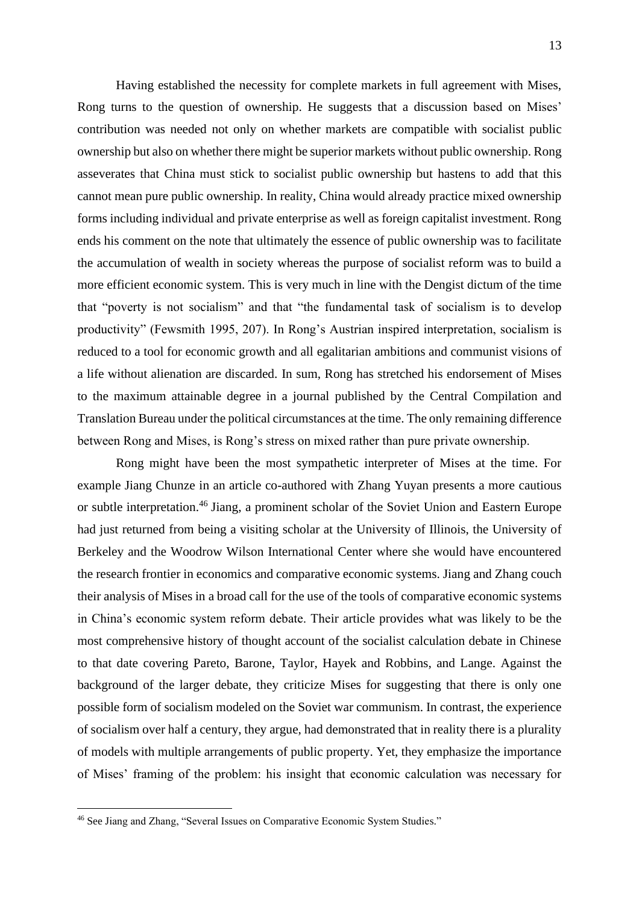Having established the necessity for complete markets in full agreement with Mises, Rong turns to the question of ownership. He suggests that a discussion based on Mises' contribution was needed not only on whether markets are compatible with socialist public ownership but also on whether there might be superior markets without public ownership. Rong asseverates that China must stick to socialist public ownership but hastens to add that this cannot mean pure public ownership. In reality, China would already practice mixed ownership forms including individual and private enterprise as well as foreign capitalist investment. Rong ends his comment on the note that ultimately the essence of public ownership was to facilitate the accumulation of wealth in society whereas the purpose of socialist reform was to build a more efficient economic system. This is very much in line with the Dengist dictum of the time that "poverty is not socialism" and that "the fundamental task of socialism is to develop productivity" (Fewsmith 1995, 207). In Rong's Austrian inspired interpretation, socialism is reduced to a tool for economic growth and all egalitarian ambitions and communist visions of a life without alienation are discarded. In sum, Rong has stretched his endorsement of Mises to the maximum attainable degree in a journal published by the Central Compilation and Translation Bureau under the political circumstances at the time. The only remaining difference between Rong and Mises, is Rong's stress on mixed rather than pure private ownership.

Rong might have been the most sympathetic interpreter of Mises at the time. For example Jiang Chunze in an article co-authored with Zhang Yuyan presents a more cautious or subtle interpretation.<sup>46</sup> Jiang, a prominent scholar of the Soviet Union and Eastern Europe had just returned from being a visiting scholar at the University of Illinois, the University of Berkeley and the Woodrow Wilson International Center where she would have encountered the research frontier in economics and comparative economic systems. Jiang and Zhang couch their analysis of Mises in a broad call for the use of the tools of comparative economic systems in China's economic system reform debate. Their article provides what was likely to be the most comprehensive history of thought account of the socialist calculation debate in Chinese to that date covering Pareto, Barone, Taylor, Hayek and Robbins, and Lange. Against the background of the larger debate, they criticize Mises for suggesting that there is only one possible form of socialism modeled on the Soviet war communism. In contrast, the experience of socialism over half a century, they argue, had demonstrated that in reality there is a plurality of models with multiple arrangements of public property. Yet, they emphasize the importance of Mises' framing of the problem: his insight that economic calculation was necessary for

<sup>46</sup> See Jiang and Zhang, "Several Issues on Comparative Economic System Studies."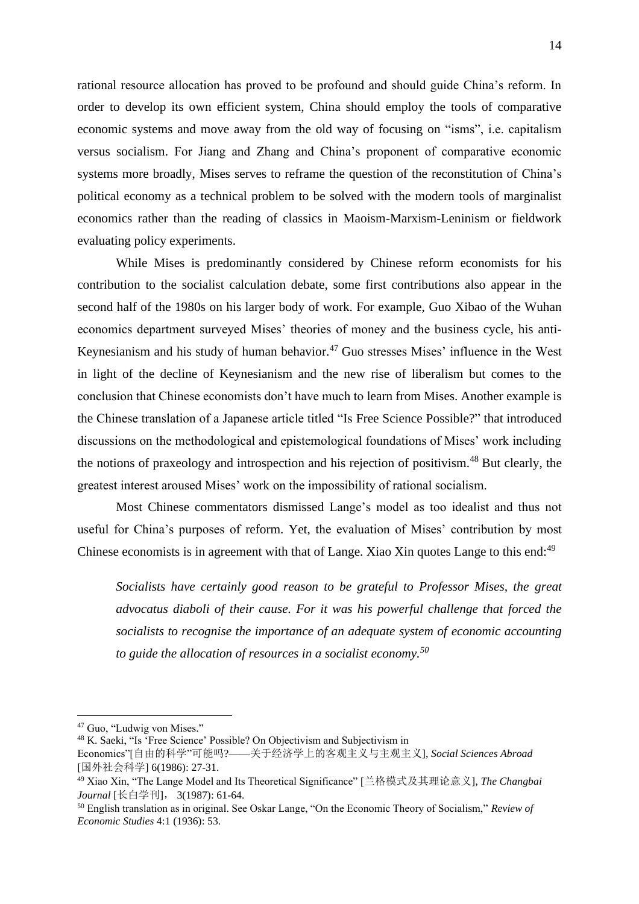rational resource allocation has proved to be profound and should guide China's reform. In order to develop its own efficient system, China should employ the tools of comparative economic systems and move away from the old way of focusing on "isms", i.e. capitalism versus socialism. For Jiang and Zhang and China's proponent of comparative economic systems more broadly, Mises serves to reframe the question of the reconstitution of China's political economy as a technical problem to be solved with the modern tools of marginalist economics rather than the reading of classics in Maoism-Marxism-Leninism or fieldwork evaluating policy experiments.

While Mises is predominantly considered by Chinese reform economists for his contribution to the socialist calculation debate, some first contributions also appear in the second half of the 1980s on his larger body of work. For example, Guo Xibao of the Wuhan economics department surveyed Mises' theories of money and the business cycle, his anti-Keynesianism and his study of human behavior.<sup>47</sup> Guo stresses Mises' influence in the West in light of the decline of Keynesianism and the new rise of liberalism but comes to the conclusion that Chinese economists don't have much to learn from Mises. Another example is the Chinese translation of a Japanese article titled "Is Free Science Possible?" that introduced discussions on the methodological and epistemological foundations of Mises' work including the notions of praxeology and introspection and his rejection of positivism.<sup>48</sup> But clearly, the greatest interest aroused Mises' work on the impossibility of rational socialism.

Most Chinese commentators dismissed Lange's model as too idealist and thus not useful for China's purposes of reform. Yet, the evaluation of Mises' contribution by most Chinese economists is in agreement with that of Lange. Xiao Xin quotes Lange to this end:<sup>49</sup>

*Socialists have certainly good reason to be grateful to Professor Mises, the great advocatus diaboli of their cause. For it was his powerful challenge that forced the socialists to recognise the importance of an adequate system of economic accounting to guide the allocation of resources in a socialist economy.<sup>50</sup>*

<sup>47</sup> Guo, "Ludwig von Mises."

<sup>48</sup> K. Saeki, "Is 'Free Science' Possible? On Objectivism and Subjectivism in

Economics"[自由的科学"可能吗?——关于经济学上的客观主义与主观主义], *Social Sciences Abroad* [国外社会科学] 6(1986): 27-31.

<sup>49</sup> Xiao Xin, "The Lange Model and Its Theoretical Significance" [兰格模式及其理论意义], *The Changbai Journal* [长白学刊], 3(1987): 61-64.

<sup>50</sup> English translation as in original. See Oskar Lange, "On the Economic Theory of Socialism," *Review of Economic Studies* 4:1 (1936): 53.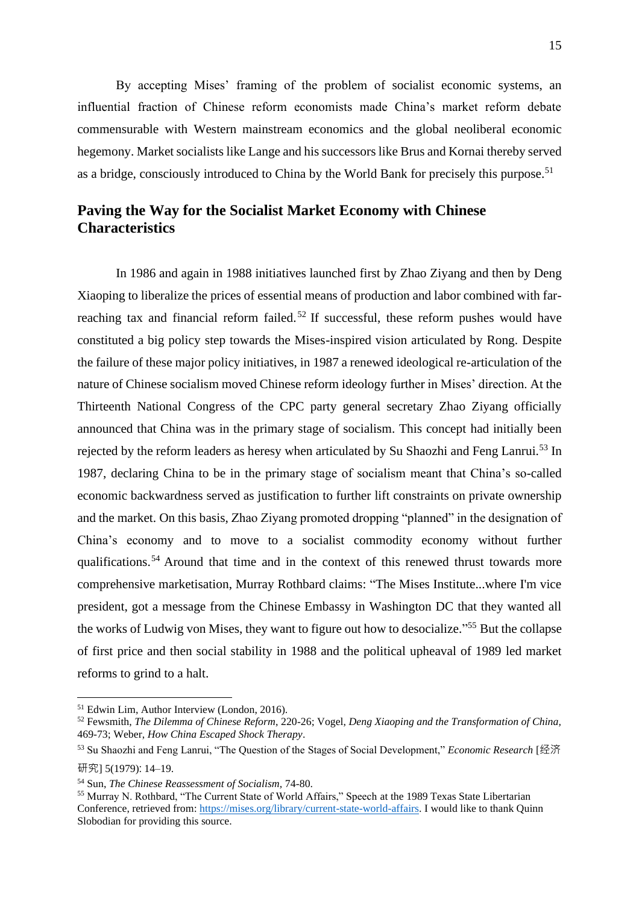By accepting Mises' framing of the problem of socialist economic systems, an influential fraction of Chinese reform economists made China's market reform debate commensurable with Western mainstream economics and the global neoliberal economic hegemony. Market socialists like Lange and his successors like Brus and Kornai thereby served as a bridge, consciously introduced to China by the World Bank for precisely this purpose.<sup>51</sup>

## **Paving the Way for the Socialist Market Economy with Chinese Characteristics**

In 1986 and again in 1988 initiatives launched first by Zhao Ziyang and then by Deng Xiaoping to liberalize the prices of essential means of production and labor combined with farreaching tax and financial reform failed.<sup>52</sup> If successful, these reform pushes would have constituted a big policy step towards the Mises-inspired vision articulated by Rong. Despite the failure of these major policy initiatives, in 1987 a renewed ideological re-articulation of the nature of Chinese socialism moved Chinese reform ideology further in Mises' direction. At the Thirteenth National Congress of the CPC party general secretary Zhao Ziyang officially announced that China was in the primary stage of socialism. This concept had initially been rejected by the reform leaders as heresy when articulated by Su Shaozhi and Feng Lanrui.<sup>53</sup> In 1987, declaring China to be in the primary stage of socialism meant that China's so-called economic backwardness served as justification to further lift constraints on private ownership and the market. On this basis, Zhao Ziyang promoted dropping "planned" in the designation of China's economy and to move to a socialist commodity economy without further qualifications.<sup>54</sup> Around that time and in the context of this renewed thrust towards more comprehensive marketisation, Murray Rothbard claims: "The Mises Institute...where I'm vice president, got a message from the Chinese Embassy in Washington DC that they wanted all the works of Ludwig von Mises, they want to figure out how to desocialize."<sup>55</sup> But the collapse of first price and then social stability in 1988 and the political upheaval of 1989 led market reforms to grind to a halt.

<sup>51</sup> Edwin Lim, Author Interview (London, 2016).

<sup>52</sup> Fewsmith, *The Dilemma of Chinese Reform*, 220-26; Vogel, *Deng Xiaoping and the Transformation of China,*  469-73; Weber, *How China Escaped Shock Therapy*.

<sup>53</sup> Su Shaozhi and Feng Lanrui, "The Question of the Stages of Social Development," *Economic Research* [经济 研究] 5(1979): 14–19.

<sup>54</sup> Sun, *The Chinese Reassessment of Socialism,* 74-80.

<sup>55</sup> Murray N. Rothbard, "The Current State of World Affairs," Speech at the 1989 Texas State Libertarian Conference, retrieved from: [https://mises.org/library/current-state-world-affairs.](https://mises.org/library/current-state-world-affairs) I would like to thank Quinn Slobodian for providing this source.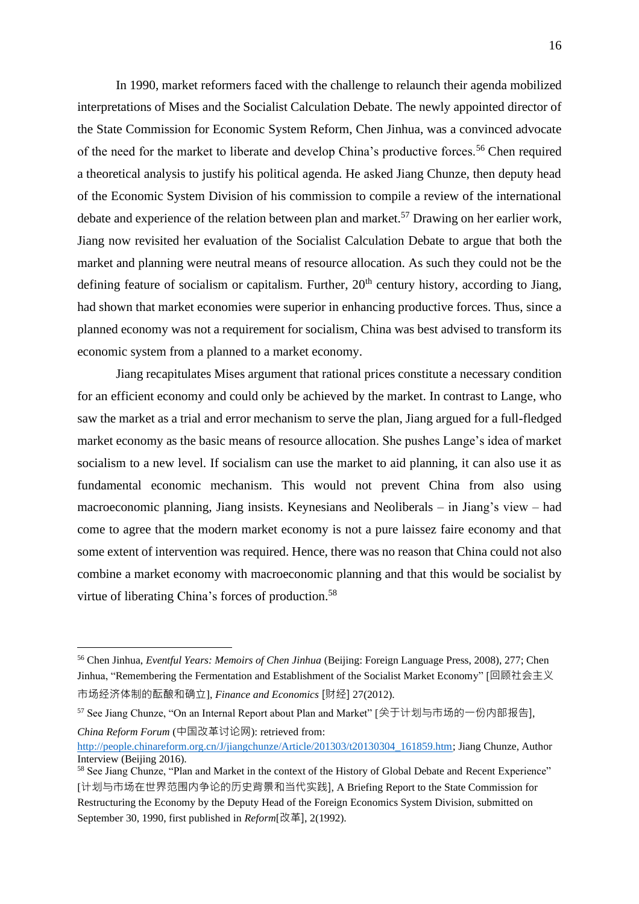In 1990, market reformers faced with the challenge to relaunch their agenda mobilized interpretations of Mises and the Socialist Calculation Debate. The newly appointed director of the State Commission for Economic System Reform, Chen Jinhua, was a convinced advocate of the need for the market to liberate and develop China's productive forces.<sup>56</sup> Chen required a theoretical analysis to justify his political agenda. He asked Jiang Chunze, then deputy head of the Economic System Division of his commission to compile a review of the international debate and experience of the relation between plan and market.<sup>57</sup> Drawing on her earlier work, Jiang now revisited her evaluation of the Socialist Calculation Debate to argue that both the market and planning were neutral means of resource allocation. As such they could not be the defining feature of socialism or capitalism. Further,  $20<sup>th</sup>$  century history, according to Jiang, had shown that market economies were superior in enhancing productive forces. Thus, since a planned economy was not a requirement for socialism, China was best advised to transform its economic system from a planned to a market economy.

Jiang recapitulates Mises argument that rational prices constitute a necessary condition for an efficient economy and could only be achieved by the market. In contrast to Lange, who saw the market as a trial and error mechanism to serve the plan, Jiang argued for a full-fledged market economy as the basic means of resource allocation. She pushes Lange's idea of market socialism to a new level. If socialism can use the market to aid planning, it can also use it as fundamental economic mechanism. This would not prevent China from also using macroeconomic planning, Jiang insists. Keynesians and Neoliberals – in Jiang's view – had come to agree that the modern market economy is not a pure laissez faire economy and that some extent of intervention was required. Hence, there was no reason that China could not also combine a market economy with macroeconomic planning and that this would be socialist by virtue of liberating China's forces of production.<sup>58</sup>

<sup>56</sup> Chen Jinhua, *Eventful Years: Memoirs of Chen Jinhua* (Beijing: Foreign Language Press, 2008), 277; Chen Jinhua, "Remembering the Fermentation and Establishment of the Socialist Market Economy" [回顾社会主义 市场经济体制的酝酿和确立], *Finance and Economics* [财经] 27(2012).

<sup>57</sup> See Jiang Chunze, "On an Internal Report about Plan and Market" [关于计划与市场的一份内部报告], *China Reform Forum* (中国改革讨论网): retrieved from:

[http://people.chinareform.org.cn/J/jiangchunze/Article/201303/t20130304\\_161859.htm;](http://people.chinareform.org.cn/J/jiangchunze/Article/201303/t20130304_161859.htm) Jiang Chunze, Author Interview (Beijing 2016).

<sup>&</sup>lt;sup>58</sup> See Jiang Chunze, "Plan and Market in the context of the History of Global Debate and Recent Experience" [计划与市场在世界范围内争论的历史背景和当代实践], A Briefing Report to the State Commission for Restructuring the Economy by the Deputy Head of the Foreign Economics System Division, submitted on September 30, 1990, first published in *Reform*[改革], 2(1992).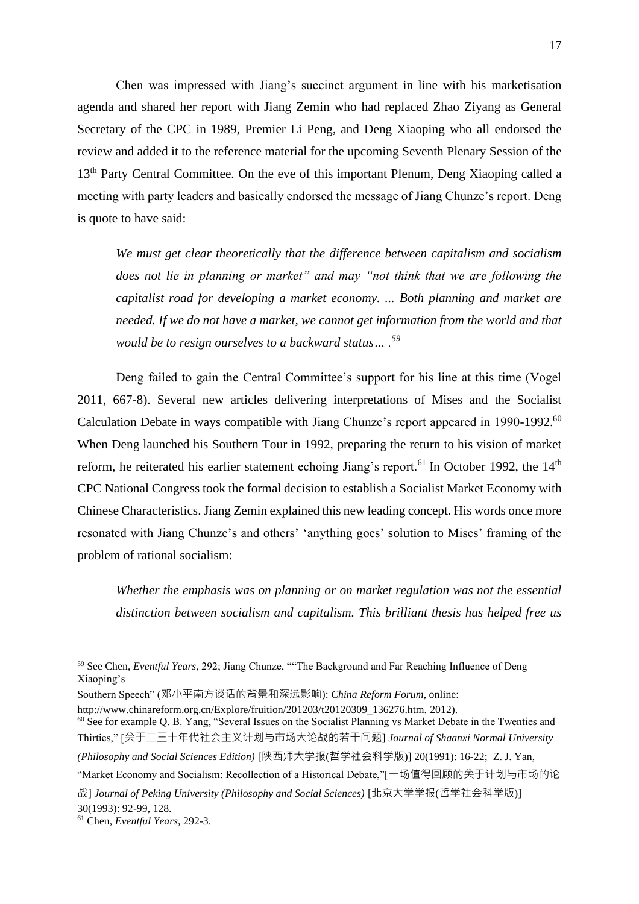Chen was impressed with Jiang's succinct argument in line with his marketisation agenda and shared her report with Jiang Zemin who had replaced Zhao Ziyang as General Secretary of the CPC in 1989, Premier Li Peng, and Deng Xiaoping who all endorsed the review and added it to the reference material for the upcoming Seventh Plenary Session of the 13<sup>th</sup> Party Central Committee. On the eve of this important Plenum, Deng Xiaoping called a meeting with party leaders and basically endorsed the message of Jiang Chunze's report. Deng is quote to have said:

*We must get clear theoretically that the difference between capitalism and socialism does not lie in planning or market" and may "not think that we are following the capitalist road for developing a market economy. ... Both planning and market are needed. If we do not have a market, we cannot get information from the world and that would be to resign ourselves to a backward status… . 59*

Deng failed to gain the Central Committee's support for his line at this time (Vogel 2011, 667-8). Several new articles delivering interpretations of Mises and the Socialist Calculation Debate in ways compatible with Jiang Chunze's report appeared in 1990-1992.<sup>60</sup> When Deng launched his Southern Tour in 1992, preparing the return to his vision of market reform, he reiterated his earlier statement echoing Jiang's report.<sup>61</sup> In October 1992, the 14<sup>th</sup> CPC National Congress took the formal decision to establish a Socialist Market Economy with Chinese Characteristics. Jiang Zemin explained this new leading concept. His words once more resonated with Jiang Chunze's and others' 'anything goes' solution to Mises' framing of the problem of rational socialism:

*Whether the emphasis was on planning or on market regulation was not the essential distinction between socialism and capitalism. This brilliant thesis has helped free us* 

<sup>59</sup> See Chen, *Eventful Years*, 292; Jiang Chunze, ""The Background and Far Reaching Influence of Deng Xiaoping's

Southern Speech" (邓小平南方谈话的背景和深远影响): *China Reform Forum*, online:

http://www.chinareform.org.cn/Explore/fruition/201203/t20120309\_136276.htm. 2012).

<sup>&</sup>lt;sup>60</sup> See for example Q. B. Yang, "Several Issues on the Socialist Planning vs Market Debate in the Twenties and Thirties," [关于二三十年代社会主义计划与市场大论战的若干问题] *Journal of Shaanxi Normal University (Philosophy and Social Sciences Edition)* [陕西师大学报(哲学社会科学版)] 20(1991): 16-22; Z. J. Yan,

<sup>&</sup>quot;Market Economy and Socialism: Recollection of a Historical Debate,"[一场值得回顾的关于计划与市场的论

战] *Journal of Peking University (Philosophy and Social Sciences)* [北京大学学报(哲学社会科学版)] 30(1993): 92-99, 128.

<sup>61</sup> Chen, *Eventful Years,* 292-3.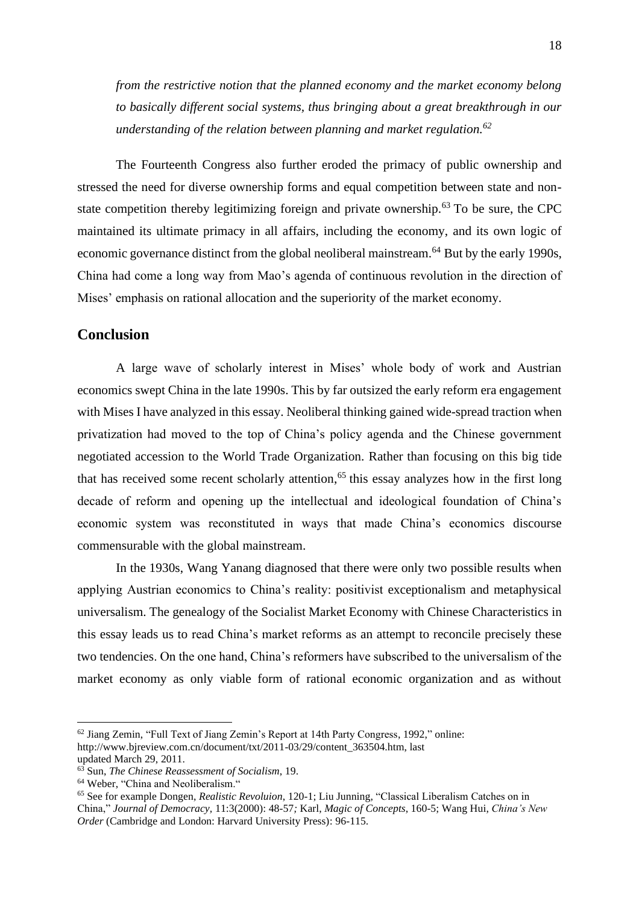*from the restrictive notion that the planned economy and the market economy belong to basically different social systems, thus bringing about a great breakthrough in our understanding of the relation between planning and market regulation.<sup>62</sup>*

The Fourteenth Congress also further eroded the primacy of public ownership and stressed the need for diverse ownership forms and equal competition between state and nonstate competition thereby legitimizing foreign and private ownership.<sup>63</sup> To be sure, the CPC maintained its ultimate primacy in all affairs, including the economy, and its own logic of economic governance distinct from the global neoliberal mainstream.<sup>64</sup> But by the early 1990s, China had come a long way from Mao's agenda of continuous revolution in the direction of Mises' emphasis on rational allocation and the superiority of the market economy.

### **Conclusion**

A large wave of scholarly interest in Mises' whole body of work and Austrian economics swept China in the late 1990s. This by far outsized the early reform era engagement with Mises I have analyzed in this essay. Neoliberal thinking gained wide-spread traction when privatization had moved to the top of China's policy agenda and the Chinese government negotiated accession to the World Trade Organization. Rather than focusing on this big tide that has received some recent scholarly attention, <sup>65</sup> this essay analyzes how in the first long decade of reform and opening up the intellectual and ideological foundation of China's economic system was reconstituted in ways that made China's economics discourse commensurable with the global mainstream.

In the 1930s, Wang Yanang diagnosed that there were only two possible results when applying Austrian economics to China's reality: positivist exceptionalism and metaphysical universalism. The genealogy of the Socialist Market Economy with Chinese Characteristics in this essay leads us to read China's market reforms as an attempt to reconcile precisely these two tendencies. On the one hand, China's reformers have subscribed to the universalism of the market economy as only viable form of rational economic organization and as without

<sup>62</sup> Jiang Zemin, "Full Text of Jiang Zemin's Report at 14th Party Congress, 1992," online: http://www.bjreview.com.cn/document/txt/2011-03/29/content\_363504.htm, last updated March 29, 2011.

<sup>63</sup> Sun, *The Chinese Reassessment of Socialism*, 19.

<sup>&</sup>lt;sup>64</sup> Weber, "China and Neoliberalism."

<sup>65</sup> See for example Dongen, *Realistic Revoluion*, 120-1; Liu Junning, "Classical Liberalism Catches on in China," *Journal of Democracy,* 11:3(2000): 48-57*;* Karl, *Magic of Concepts*, 160-5; Wang Hui, *China's New Order* (Cambridge and London: Harvard University Press): 96-115.